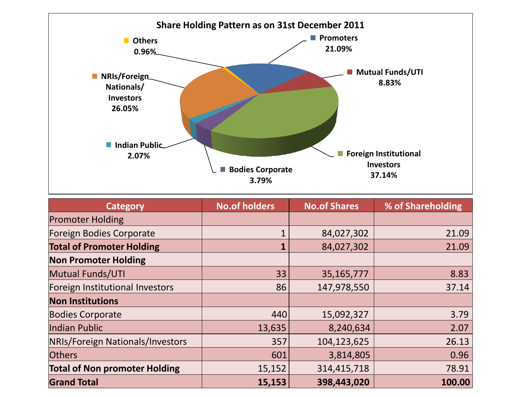

| <b>Category</b>                      | <b>No.of holders</b> | <b>No.of Shares</b> | % of Shareholding |
|--------------------------------------|----------------------|---------------------|-------------------|
| <b>Promoter Holding</b>              |                      |                     |                   |
| <b>Foreign Bodies Corporate</b>      |                      | 84,027,302          | 21.09             |
| <b>Total of Promoter Holding</b>     | 1                    | 84,027,302          | 21.09             |
| <b>Non Promoter Holding</b>          |                      |                     |                   |
| <b>Mutual Funds/UTI</b>              | 33                   | 35,165,777          | 8.83              |
| Foreign Institutional Investors      | 86                   | 147,978,550         | 37.14             |
| <b>Non Institutions</b>              |                      |                     |                   |
| <b>Bodies Corporate</b>              | 440                  | 15,092,327          | 3.79              |
| Indian Public                        | 13,635               | 8,240,634           | 2.07              |
| NRIs/Foreign Nationals/Investors     | 357                  | 104,123,625         | 26.13             |
| <b>Others</b>                        | 601                  | 3,814,805           | 0.96              |
| <b>Total of Non promoter Holding</b> | 15,152               | 314,415,718         | 78.91             |
| <b>Grand Total</b>                   | 15,153               | 398,443,020         | 100.00            |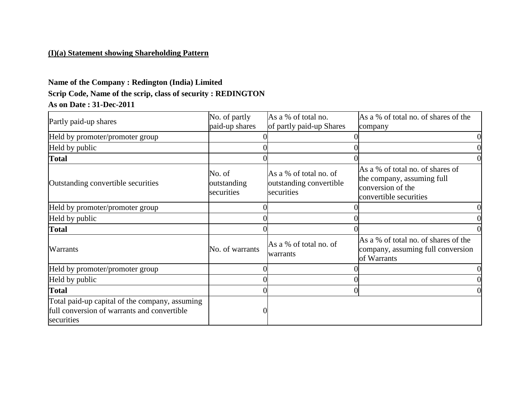## **(I)(a) Statement showing Shareholding Pattern**

# **Name of the Company : Redington (India) Limited Scrip Code, Name of the scrip, class of security : REDINGTON As on Date : 31-Dec-2011**

| Partly paid-up shares                                                                                       | No. of partly                       | As a % of total no.                                             | As a % of total no. of shares of the                                                                          |
|-------------------------------------------------------------------------------------------------------------|-------------------------------------|-----------------------------------------------------------------|---------------------------------------------------------------------------------------------------------------|
|                                                                                                             | paid-up shares                      | of partly paid-up Shares                                        | company                                                                                                       |
| Held by promoter/promoter group                                                                             |                                     |                                                                 |                                                                                                               |
| Held by public                                                                                              |                                     |                                                                 |                                                                                                               |
| <b>Total</b>                                                                                                |                                     |                                                                 |                                                                                                               |
| Outstanding convertible securities                                                                          | No. of<br>outstanding<br>securities | As a % of total no. of<br>outstanding convertible<br>securities | As a % of total no. of shares of<br>the company, assuming full<br>conversion of the<br>convertible securities |
| Held by promoter/promoter group                                                                             |                                     |                                                                 |                                                                                                               |
| Held by public                                                                                              |                                     |                                                                 |                                                                                                               |
| <b>Total</b>                                                                                                |                                     |                                                                 |                                                                                                               |
| <b>Warrants</b>                                                                                             | No. of warrants                     | As a % of total no. of<br>warrants                              | As a % of total no. of shares of the<br>company, assuming full conversion<br>of Warrants                      |
| Held by promoter/promoter group                                                                             |                                     |                                                                 |                                                                                                               |
| Held by public                                                                                              |                                     |                                                                 |                                                                                                               |
| <b>Total</b>                                                                                                |                                     |                                                                 |                                                                                                               |
| Total paid-up capital of the company, assuming<br>full conversion of warrants and convertible<br>securities |                                     |                                                                 |                                                                                                               |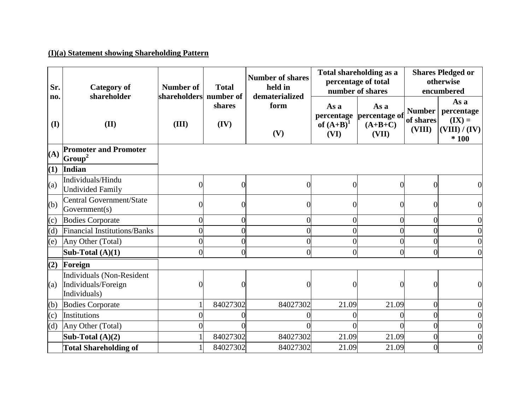## **(I)(a) Statement showing Shareholding Pattern**

| Sr.                 | <b>Category of</b><br>shareholder                                | <b>Number of</b><br>shareholders | <b>Total</b><br>number of | <b>Number of shares</b><br>held in<br>dematerialized |                                            | Total shareholding as a<br>percentage of total<br>number of shares | <b>Shares Pledged or</b><br>otherwise<br>encumbered |                                                           |
|---------------------|------------------------------------------------------------------|----------------------------------|---------------------------|------------------------------------------------------|--------------------------------------------|--------------------------------------------------------------------|-----------------------------------------------------|-----------------------------------------------------------|
| no.<br>$\mathbf{I}$ | (II)                                                             | (III)                            | shares<br>(IV)            | form<br>(V)                                          | As a<br>percentage<br>of $(A+B)^1$<br>(VI) | As a<br>percentage of<br>$(A+B+C)$<br>(VII)                        | <b>Number</b><br>of shares<br>(VIII)                | As a<br>percentage<br>$(IX) =$<br>(VIII) / (IV)<br>$*100$ |
| (A)                 | <b>Promoter and Promoter</b><br>Group <sup>2</sup>               |                                  |                           |                                                      |                                            |                                                                    |                                                     |                                                           |
| (1)                 | Indian                                                           |                                  |                           |                                                      |                                            |                                                                    |                                                     |                                                           |
| (a)                 | Individuals/Hindu<br><b>Undivided Family</b>                     | 0                                | $\overline{0}$            | $\Omega$                                             | $\Omega$                                   | $\Omega$                                                           | 0                                                   | $\overline{0}$                                            |
| (b)                 | <b>Central Government/State</b><br>Government(s)                 | 0                                | 0                         |                                                      |                                            | $\theta$                                                           |                                                     | $\overline{0}$                                            |
| (c)                 | <b>Bodies Corporate</b>                                          | $\overline{0}$                   | $\overline{0}$            | $\theta$                                             | $\overline{0}$                             | $\Omega$                                                           | $\overline{0}$                                      | $\overline{0}$                                            |
| (d)                 | <b>Financial Institutions/Banks</b>                              | $\overline{0}$                   | $\overline{0}$            | 0                                                    | $\overline{0}$                             | $\Omega$                                                           | $\overline{0}$                                      | $\overline{0}$                                            |
| (e)                 | Any Other (Total)                                                | $\overline{0}$                   | $\overline{0}$            | $\overline{0}$                                       | $\overline{0}$                             | $\Omega$                                                           | $\overline{0}$                                      | $\overline{0}$                                            |
|                     | Sub-Total $(A)(1)$                                               | $\theta$                         | $\Omega$                  | 0                                                    | $\theta$                                   | 0                                                                  | $\theta$                                            | $\theta$                                                  |
| (2)                 | Foreign                                                          |                                  |                           |                                                      |                                            |                                                                    |                                                     |                                                           |
| (a)                 | Individuals (Non-Resident<br>Individuals/Foreign<br>Individuals) |                                  | 0                         |                                                      |                                            | $\Omega$                                                           |                                                     | 0                                                         |
| (b)                 | <b>Bodies Corporate</b>                                          |                                  | 84027302                  | 84027302                                             | 21.09                                      | 21.09                                                              | $\overline{0}$                                      | $\overline{0}$                                            |
| $\left( c\right)$   | Institutions                                                     |                                  |                           |                                                      |                                            |                                                                    | 0                                                   | $\overline{0}$                                            |
| (d)                 | Any Other (Total)                                                |                                  | 0                         |                                                      |                                            | $\Omega$                                                           | $\overline{0}$                                      | $\overline{0}$                                            |
|                     | Sub-Total $(A)(2)$                                               |                                  | 84027302                  | 84027302                                             | 21.09                                      | 21.09                                                              | $\theta$                                            | $\overline{0}$                                            |
|                     | <b>Total Shareholding of</b>                                     |                                  | 84027302                  | 84027302                                             | 21.09                                      | 21.09                                                              | 0                                                   | $\overline{0}$                                            |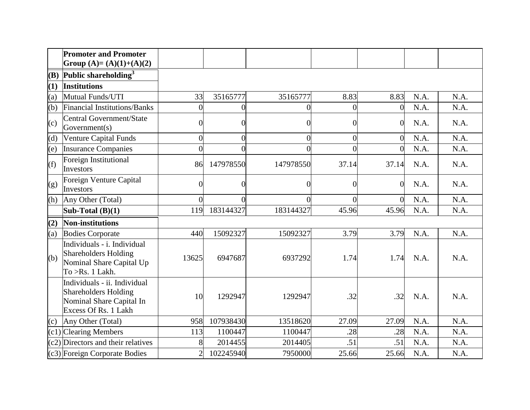|                   | <b>Promoter and Promoter</b><br>Group (A)= (A)(1)+(A)(2)                                                        |                |                |           |                |                |      |      |
|-------------------|-----------------------------------------------------------------------------------------------------------------|----------------|----------------|-----------|----------------|----------------|------|------|
| (B)               | Public shareholding $3$                                                                                         |                |                |           |                |                |      |      |
| (1)               | <b>Institutions</b>                                                                                             |                |                |           |                |                |      |      |
| (a)               | Mutual Funds/UTI                                                                                                | 33             | 35165777       | 35165777  | 8.83           | 8.83           | N.A. | N.A. |
| (b)               | Financial Institutions/Banks                                                                                    | $\overline{0}$ | $\Omega$       | 0         | 0              | $\Omega$       | N.A. | N.A. |
| $\left( c\right)$ | <b>Central Government/State</b><br>Government(s)                                                                | 0              | $\Omega$       | 0         | $\overline{0}$ | $\Omega$       | N.A. | N.A. |
| (d)               | <b>Venture Capital Funds</b>                                                                                    | $\overline{0}$ | $\overline{0}$ | $\Omega$  | $\overline{0}$ | $\overline{0}$ | N.A. | N.A. |
| (e)               | <b>Insurance Companies</b>                                                                                      | $\overline{0}$ | 0              | 0         | 0              | $\Omega$       | N.A. | N.A. |
| (f)               | Foreign Institutional<br>Investors                                                                              | 86             | 147978550      | 147978550 | 37.14          | 37.14          | N.A. | N.A. |
| (g)               | Foreign Venture Capital<br>Investors                                                                            | $\theta$       | $\Omega$       | 0         | $\Omega$       | $\overline{0}$ | N.A. | N.A. |
| (h)               | Any Other (Total)                                                                                               | $\overline{0}$ | $\Omega$       | 0         | $\Omega$       | $\Omega$       | N.A. | N.A. |
|                   | Sub-Total $(B)(1)$                                                                                              | 119            | 183144327      | 183144327 | 45.96          | 45.96          | N.A. | N.A. |
| (2)               | <b>Non-institutions</b>                                                                                         |                |                |           |                |                |      |      |
| (a)               | <b>Bodies Corporate</b>                                                                                         | 440            | 15092327       | 15092327  | 3.79           | 3.79           | N.A. | N.A. |
| (b)               | Individuals - i. Individual<br><b>Shareholders Holding</b><br>Nominal Share Capital Up<br>To $>Rs$ . 1 Lakh.    | 13625          | 6947687        | 6937292   | 1.74           | 1.74           | N.A. | N.A. |
|                   | Individuals - ii. Individual<br><b>Shareholders Holding</b><br>Nominal Share Capital In<br>Excess Of Rs. 1 Lakh | 10             | 1292947        | 1292947   | .32            | .32            | N.A. | N.A. |
| (c)               | Any Other (Total)                                                                                               | 958            | 107938430      | 13518620  | 27.09          | 27.09          | N.A. | N.A. |
|                   | $(c1)$ Clearing Members                                                                                         | 113            | 1100447        | 1100447   | .28            | .28            | N.A. | N.A. |
|                   | $(c2)$ Directors and their relatives                                                                            | 8              | 2014455        | 2014405   | .51            | .51            | N.A. | N.A. |
|                   | (c3) Foreign Corporate Bodies                                                                                   | $\overline{2}$ | 102245940      | 7950000   | 25.66          | 25.66          | N.A. | N.A. |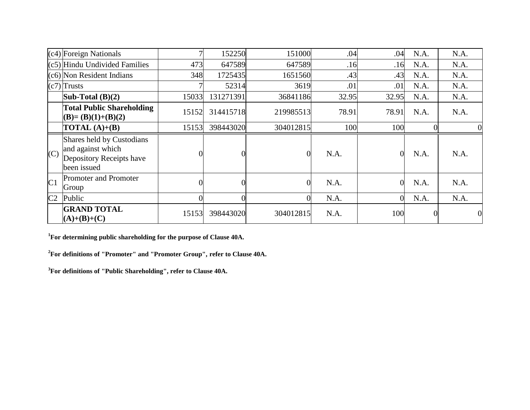|                | (c4) Foreign Nationals                                                                    | 7     | 152250         | 151000         | .04   | .04            | N.A.           | N.A.           |
|----------------|-------------------------------------------------------------------------------------------|-------|----------------|----------------|-------|----------------|----------------|----------------|
|                | (c5) Hindu Undivided Families                                                             | 473   | 647589         | 647589         | .16   | .16            | N.A.           | N.A.           |
|                | (c6) Non Resident Indians                                                                 | 348   | 1725435        | 1651560        | .43   | .43            | N.A.           | N.A.           |
|                | $(c7)$ Trusts                                                                             |       | 52314          | 3619           | .01   | .01            | N.A.           | N.A.           |
|                | Sub-Total $(B)(2)$                                                                        | 15033 | 131271391      | 36841186       | 32.95 | 32.95          | N.A.           | N.A.           |
|                | <b>Total Public Shareholding</b><br>$(B)=(B)(1)+(B)(2)$                                   | 15152 | 314415718      | 219985513      | 78.91 | 78.91          | N.A.           | N.A.           |
|                | <b>TOTAL</b> $(A)+(B)$                                                                    | 15153 | 398443020      | 304012815      | 100   | 100            | $\overline{0}$ |                |
| (C)            | Shares held by Custodians<br>and against which<br>Depository Receipts have<br>been issued |       |                | $\theta$       | N.A.  | $\Omega$       | N.A.           | N.A.           |
| C <sub>1</sub> | <b>Promoter and Promoter</b><br>Group                                                     | 0     | $\overline{0}$ | $\overline{0}$ | N.A.  | $\overline{0}$ | N.A.           | N.A.           |
| C <sub>2</sub> | Public                                                                                    | O     | $\overline{0}$ | $\Omega$       | N.A.  | $\Omega$       | N.A.           | N.A.           |
|                | <b>GRAND TOTAL</b><br>$(A)+(B)+(C)$                                                       | 15153 | 398443020      | 304012815      | N.A.  | 100            | $\overline{0}$ | $\overline{0}$ |

**<sup>1</sup>For determining public shareholding for the purpose of Clause 40A.**

**<sup>2</sup>For definitions of "Promoter" and "Promoter Group", refer to Clause 40A.**

**<sup>3</sup>For definitions of "Public Shareholding", refer to Clause 40A.**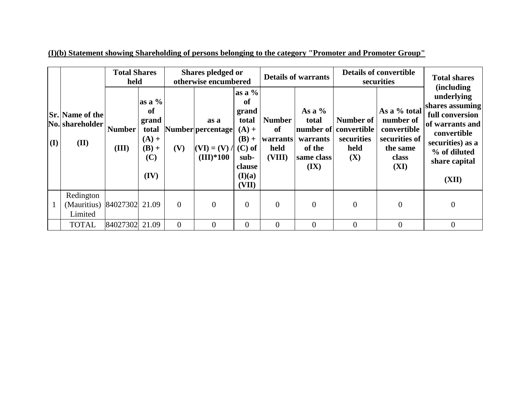|              | <b>Total Shares</b><br>held                       |                        |                                                                                | Shares pledged or<br>otherwise encumbered |                                                            |                                                                                                               | <b>Details of warrants</b>                        |                                                               | <b>Details of convertible</b><br>securities                     |                                                                                        | <b>Total shares</b>                                                                                                                                                    |
|--------------|---------------------------------------------------|------------------------|--------------------------------------------------------------------------------|-------------------------------------------|------------------------------------------------------------|---------------------------------------------------------------------------------------------------------------|---------------------------------------------------|---------------------------------------------------------------|-----------------------------------------------------------------|----------------------------------------------------------------------------------------|------------------------------------------------------------------------------------------------------------------------------------------------------------------------|
| $\mathbf{I}$ | <b>Sr.</b> Name of the<br>No. shareholder<br>(II) | <b>Number</b><br>(III) | as a $%$<br>of<br>grand<br>total<br>$(A) +$<br>$(\mathbf{B}) +$<br>(C)<br>(IV) | (V)                                       | as a<br>Number percentage<br>$(VI) = (V) /$<br>$(III)*100$ | $\vert$ as a %<br>of<br>grand<br>total<br>$(A) +$<br>$(B) +$<br>$(C)$ of<br>sub-<br>clause<br>(I)(a)<br>(VII) | <b>Number</b><br>of<br>warrants<br>held<br>(VIII) | As a $%$<br>total<br>warrants<br>of the<br>same class<br>(IX) | Number of<br>number of convertible<br>securities<br>held<br>(X) | As a % total<br>number of<br>convertible<br>securities of<br>the same<br>class<br>(XI) | <i>(including)</i><br>underlying<br>shares assuming<br>full conversion<br>of warrants and<br>convertible<br>securities) as a<br>% of diluted<br>share capital<br>(XII) |
|              | Redington<br>(Mauritius)<br>Limited               | 84027302 21.09         |                                                                                | $\overline{0}$                            | $\overline{0}$                                             | $\overline{0}$                                                                                                | $\overline{0}$                                    | $\overline{0}$                                                | $\theta$                                                        | $\overline{0}$                                                                         | $\overline{0}$                                                                                                                                                         |
|              | <b>TOTAL</b>                                      | 84027302               | 21.09                                                                          | $\theta$                                  | $\Omega$                                                   | $\Omega$                                                                                                      | $\theta$                                          | $\theta$                                                      | $\Omega$                                                        | $\theta$                                                                               | $\Omega$                                                                                                                                                               |

**(I)(b) Statement showing Shareholding of persons belonging to the category "Promoter and Promoter Group"**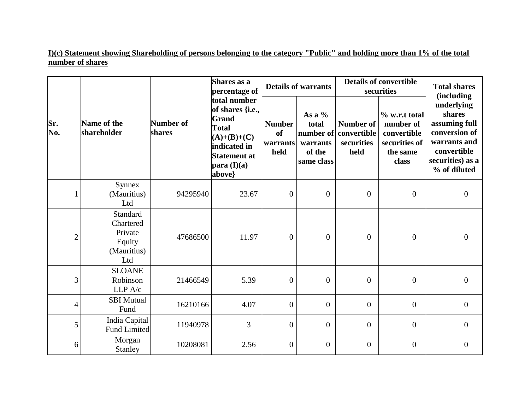**I)(c) Statement showing Shareholding of persons belonging to the category "Public" and holding more than 1% of the total number of shares**

|                |                                                                  |                     | Shares as a<br>percentage of                                                                                                               |                                                    | <b>Details of warrants</b>                                         |                                                | <b>Details of convertible</b><br>securities                                     |                                                                                                                                                 |  |
|----------------|------------------------------------------------------------------|---------------------|--------------------------------------------------------------------------------------------------------------------------------------------|----------------------------------------------------|--------------------------------------------------------------------|------------------------------------------------|---------------------------------------------------------------------------------|-------------------------------------------------------------------------------------------------------------------------------------------------|--|
| Sr.<br>No.     | Name of the<br>shareholder                                       | Number of<br>shares | total number<br>of shares {i.e.,<br>Grand<br><b>Total</b><br>$(A)+(B)+(C)$<br>indicated in<br><b>Statement at</b><br>para (I)(a)<br>above} | <b>Number</b><br><sub>of</sub><br>warrants<br>held | As a $%$<br>total<br>number of<br>warrants<br>of the<br>same class | Number of<br>convertible<br>securities<br>held | % w.r.t total<br>number of<br>convertible<br>securities of<br>the same<br>class | <i>(including)</i><br>underlying<br>shares<br>assuming full<br>conversion of<br>warrants and<br>convertible<br>securities) as a<br>% of diluted |  |
|                | <b>Synnex</b><br>(Mauritius)<br>Ltd                              | 94295940            | 23.67                                                                                                                                      | $\boldsymbol{0}$                                   | $\boldsymbol{0}$                                                   | $\mathbf{0}$                                   | $\overline{0}$                                                                  | $\boldsymbol{0}$                                                                                                                                |  |
| $\overline{c}$ | Standard<br>Chartered<br>Private<br>Equity<br>(Mauritius)<br>Ltd | 47686500            | 11.97                                                                                                                                      | $\overline{0}$                                     | $\mathbf{0}$                                                       | $\overline{0}$                                 | $\overline{0}$                                                                  | $\Omega$                                                                                                                                        |  |
| 3              | <b>SLOANE</b><br>Robinson<br>LLP A/c                             | 21466549            | 5.39                                                                                                                                       | $\boldsymbol{0}$                                   | $\mathbf{0}$                                                       | $\overline{0}$                                 | $\overline{0}$                                                                  | $\overline{0}$                                                                                                                                  |  |
| $\overline{4}$ | <b>SBI</b> Mutual<br>Fund                                        | 16210166            | 4.07                                                                                                                                       | $\overline{0}$                                     | $\mathbf{0}$                                                       | $\mathbf{0}$                                   | $\mathbf{0}$                                                                    | $\boldsymbol{0}$                                                                                                                                |  |
| 5              | India Capital<br><b>Fund Limited</b>                             | 11940978            | 3                                                                                                                                          | $\mathbf{0}$                                       | $\mathbf{0}$                                                       | $\overline{0}$                                 | $\overline{0}$                                                                  | $\overline{0}$                                                                                                                                  |  |
| 6              | Morgan<br>Stanley                                                | 10208081            | 2.56                                                                                                                                       | $\overline{0}$                                     | $\mathbf{0}$                                                       | $\overline{0}$                                 | $\boldsymbol{0}$                                                                | $\overline{0}$                                                                                                                                  |  |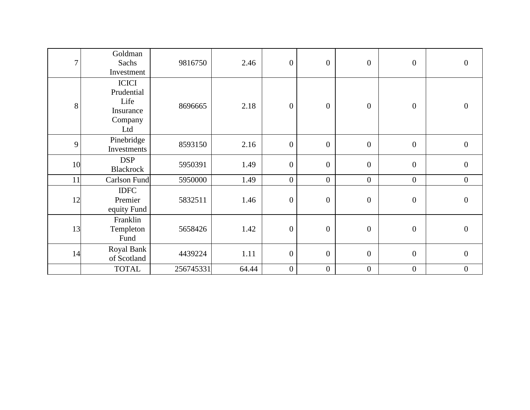| 7  | Goldman<br>Sachs<br>Investment                                    | 9816750   | 2.46  | $\boldsymbol{0}$ | $\boldsymbol{0}$ | $\boldsymbol{0}$ | $\overline{0}$   | $\boldsymbol{0}$ |
|----|-------------------------------------------------------------------|-----------|-------|------------------|------------------|------------------|------------------|------------------|
| 8  | <b>ICICI</b><br>Prudential<br>Life<br>Insurance<br>Company<br>Ltd | 8696665   | 2.18  | $\overline{0}$   | $\boldsymbol{0}$ | $\overline{0}$   | $\overline{0}$   | $\boldsymbol{0}$ |
| 9  | Pinebridge<br>Investments                                         | 8593150   | 2.16  | $\mathbf{0}$     | $\boldsymbol{0}$ | $\boldsymbol{0}$ | $\overline{0}$   | $\boldsymbol{0}$ |
| 10 | <b>DSP</b><br><b>Blackrock</b>                                    | 5950391   | 1.49  | $\mathbf{0}$     | $\boldsymbol{0}$ | $\boldsymbol{0}$ | $\overline{0}$   | $\overline{0}$   |
| 11 | Carlson Fund                                                      | 5950000   | 1.49  | $\overline{0}$   | $\overline{0}$   | $\boldsymbol{0}$ | $\boldsymbol{0}$ | $\boldsymbol{0}$ |
| 12 | <b>IDFC</b><br>Premier<br>equity Fund                             | 5832511   | 1.46  | $\overline{0}$   | $\boldsymbol{0}$ | $\boldsymbol{0}$ | $\overline{0}$   | $\boldsymbol{0}$ |
| 13 | Franklin<br>Templeton<br>Fund                                     | 5658426   | 1.42  | $\boldsymbol{0}$ | $\boldsymbol{0}$ | $\boldsymbol{0}$ | $\overline{0}$   | $\boldsymbol{0}$ |
| 14 | Royal Bank<br>of Scotland                                         | 4439224   | 1.11  | $\mathbf{0}$     | $\boldsymbol{0}$ | $\overline{0}$   | $\overline{0}$   | $\boldsymbol{0}$ |
|    | <b>TOTAL</b>                                                      | 256745331 | 64.44 | $\boldsymbol{0}$ | $\boldsymbol{0}$ | $\boldsymbol{0}$ | $\boldsymbol{0}$ | $\boldsymbol{0}$ |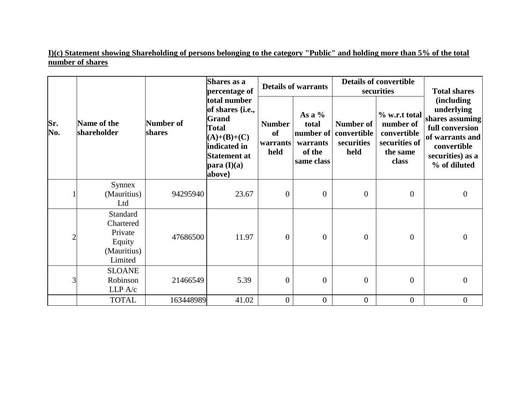**I)(c) Statement showing Shareholding of persons belonging to the category "Public" and holding more than 5% of the total number of shares**

|                |                                                                      |                     | Shares as a<br>percentage of                                                                                                                      |                                                | <b>Details of warrants</b>                            | <b>Details of convertible</b><br>securities              | <b>Total shares</b>                                                             |                                                                                                                                              |  |
|----------------|----------------------------------------------------------------------|---------------------|---------------------------------------------------------------------------------------------------------------------------------------------------|------------------------------------------------|-------------------------------------------------------|----------------------------------------------------------|---------------------------------------------------------------------------------|----------------------------------------------------------------------------------------------------------------------------------------------|--|
| Sr.<br>No.     | Name of the<br>shareholder                                           | Number of<br>shares | total number<br>of shares {i.e.,<br><b>Grand</b><br><b>Total</b><br>$(A)+(B)+(C)$<br>indicated in<br><b>Statement at</b><br>para (I)(a)<br>above} | <b>Number</b><br><b>of</b><br>warrants<br>held | As a $%$<br>total<br>warrants<br>of the<br>same class | Number of<br>number of convertible<br>securities<br>held | % w.r.t total<br>number of<br>convertible<br>securities of<br>the same<br>class | <i>(including)</i><br>underlying<br>shares assuming<br>full conversion<br>of warrants and<br>convertible<br>securities) as a<br>% of diluted |  |
|                | Synnex<br>(Mauritius)<br>Ltd                                         | 94295940            | 23.67                                                                                                                                             | $\overline{0}$                                 | $\boldsymbol{0}$                                      | $\overline{0}$                                           | $\mathbf{0}$                                                                    | $\boldsymbol{0}$                                                                                                                             |  |
| $\overline{c}$ | Standard<br>Chartered<br>Private<br>Equity<br>(Mauritius)<br>Limited | 47686500            | 11.97                                                                                                                                             | $\overline{0}$                                 | $\overline{0}$                                        | $\overline{0}$                                           | $\overline{0}$                                                                  | $\overline{0}$                                                                                                                               |  |
| 3              | <b>SLOANE</b><br>Robinson<br>LLP A/c                                 | 21466549            | 5.39                                                                                                                                              | $\overline{0}$                                 | $\overline{0}$                                        | $\overline{0}$                                           | $\mathbf{0}$                                                                    | $\boldsymbol{0}$                                                                                                                             |  |
|                | <b>TOTAL</b>                                                         | 163448989           | 41.02                                                                                                                                             | $\overline{0}$                                 | $\overline{0}$                                        | $\boldsymbol{0}$                                         | $\mathbf{0}$                                                                    | $\boldsymbol{0}$                                                                                                                             |  |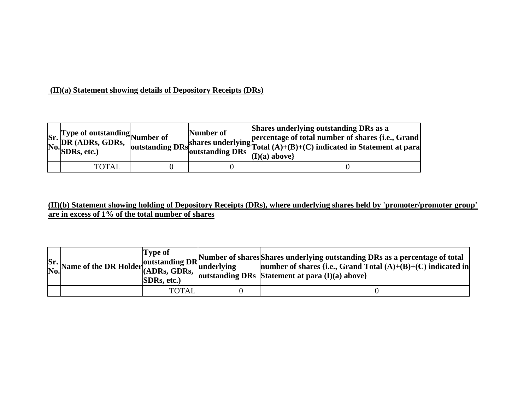#### **(II)(a) Statement showing details of Depository Receipts (DRs)**

|  | Sr. Type of outstanding<br>No. DR (ADRs, GDRs, outstanding<br>No. SDRs, etc.) | Number of | Shares underlying outstanding DRs as a<br>shares underlying percentage of total number of shares {i.e., Grand shares underlying Total $(A)+(B)+(C)$ indicated in Statement at para<br>outstanding DRs outstanding DRs $\left  \begin{array}{c} 1 \text{ v} \text{ u} \\ \text{ (I) (a) above} \end{array} \right $ |
|--|-------------------------------------------------------------------------------|-----------|--------------------------------------------------------------------------------------------------------------------------------------------------------------------------------------------------------------------------------------------------------------------------------------------------------------------|
|  | <b>TOTAL</b>                                                                  |           |                                                                                                                                                                                                                                                                                                                    |

### **(II)(b) Statement showing holding of Depository Receipts (DRs), where underlying shares held by 'promoter/promoter group' are in excess of 1% of the total number of shares**

|  | Tvpe of<br><b>SDRs, etc.)</b> | $S$ r.<br>Name of the DR Holder (ADRs, GDRs, CDRs, $S$ ) and the state of the Shares underlying outstanding DRs as a percentage of total (A)+(B)+(C) indicated in<br>  outstanding DRs Statement at para $(I)(a)$ above} |
|--|-------------------------------|--------------------------------------------------------------------------------------------------------------------------------------------------------------------------------------------------------------------------|
|  | <b>TOTAL</b>                  |                                                                                                                                                                                                                          |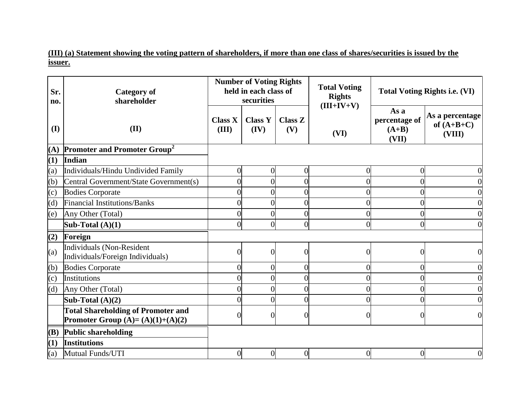**(III) (a) Statement showing the voting pattern of shareholders, if more than one class of shares/securities is issued by the issuer.**

| Sr.<br>no.        | <b>Category of</b><br>shareholder                                               |                         | <b>Number of Voting Rights</b><br>held in each class of<br>securities |                       | <b>Total Voting</b><br><b>Rights</b><br>$(III+IV+V)$ | <b>Total Voting Rights i.e. (VI)</b>      |                                           |
|-------------------|---------------------------------------------------------------------------------|-------------------------|-----------------------------------------------------------------------|-----------------------|------------------------------------------------------|-------------------------------------------|-------------------------------------------|
| (I)               | (II)                                                                            | <b>Class X</b><br>(III) | <b>Class Y</b><br>(IV)                                                | <b>Class Z</b><br>(V) | (VI)                                                 | As a<br>percentage of<br>$(A+B)$<br>(VII) | As a percentage<br>of $(A+B+C)$<br>(VIII) |
| (A)               | <b>Promoter and Promoter Group<sup>2</sup></b>                                  |                         |                                                                       |                       |                                                      |                                           |                                           |
| (1)               | Indian                                                                          |                         |                                                                       |                       |                                                      |                                           |                                           |
| (a)               | Individuals/Hindu Undivided Family                                              | 0                       | $\overline{0}$                                                        | $\overline{0}$        | $\overline{0}$                                       | $\overline{0}$                            | $\overline{0}$                            |
| (b)               | Central Government/State Government(s)                                          | 0                       | $\overline{0}$                                                        | $\overline{0}$        |                                                      | $\overline{0}$                            | $\overline{0}$                            |
| $\left( c\right)$ | <b>Bodies Corporate</b>                                                         | 0                       | $\overline{0}$                                                        | $\overline{0}$        |                                                      |                                           | $\overline{0}$                            |
| (d)               | <b>Financial Institutions/Banks</b>                                             | 0                       | $\boldsymbol{0}$                                                      | $\boldsymbol{0}$      | 0                                                    | 0                                         | $\mathbf{0}$                              |
| (e)               | Any Other (Total)                                                               | $\theta$                | $\overline{0}$                                                        | $\overline{0}$        |                                                      |                                           | $\overline{0}$                            |
|                   | Sub-Total $(A)(1)$                                                              | 0                       | $\overline{0}$                                                        | $\overline{0}$        | 0                                                    | $\overline{0}$                            | $\overline{0}$                            |
| (2)               | Foreign                                                                         |                         |                                                                       |                       |                                                      |                                           |                                           |
| (a)               | Individuals (Non-Resident<br>Individuals/Foreign Individuals)                   | 0                       | $\overline{0}$                                                        | $\overline{0}$        | 0                                                    | 0                                         | $\overline{0}$                            |
| (b)               | <b>Bodies Corporate</b>                                                         | 0                       | $\overline{0}$                                                        | $\overline{0}$        | 0                                                    | 0                                         | $\overline{0}$                            |
| $\left( c\right)$ | Institutions                                                                    | 0                       | $\overline{0}$                                                        | $\overline{0}$        |                                                      |                                           | $\overline{0}$                            |
| (d)               | Any Other (Total)                                                               | 0                       | $\overline{0}$                                                        | $\overline{0}$        |                                                      |                                           | $\overline{0}$                            |
|                   | Sub-Total $(A)(2)$                                                              | 0                       | $\overline{0}$                                                        | $\overline{0}$        |                                                      | 0                                         | $\overline{0}$                            |
|                   | <b>Total Shareholding of Promoter and</b><br>Promoter Group $(A)=(A)(1)+(A)(2)$ |                         | $\overline{0}$                                                        | 0                     |                                                      | 0                                         | $\overline{0}$                            |
| <b>(B)</b>        | <b>Public shareholding</b>                                                      |                         |                                                                       |                       |                                                      |                                           |                                           |
| (1)               | <b>Institutions</b>                                                             |                         |                                                                       |                       |                                                      |                                           |                                           |
| (a)               | Mutual Funds/UTI                                                                | $\overline{0}$          | $\overline{0}$                                                        | $\boldsymbol{0}$      | $\overline{0}$                                       | $\overline{0}$                            | $\overline{0}$                            |